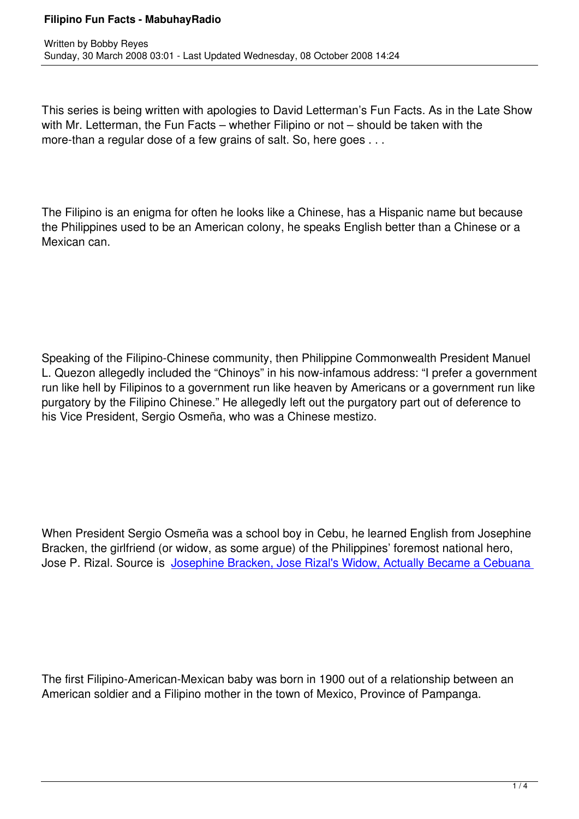This series is being written with apologies to David Letterman's Fun Facts. As in the Late Show with Mr. Letterman, the Fun Facts – whether Filipino or not – should be taken with the more-than a regular dose of a few grains of salt. So, here goes . . .

The Filipino is an enigma for often he looks like a Chinese, has a Hispanic name but because the Philippines used to be an American colony, he speaks English better than a Chinese or a Mexican can.

Speaking of the Filipino-Chinese community, then Philippine Commonwealth President Manuel L. Quezon allegedly included the "Chinoys" in his now-infamous address: "I prefer a government run like hell by Filipinos to a government run like heaven by Americans or a government run like purgatory by the Filipino Chinese." He allegedly left out the purgatory part out of deference to his Vice President, Sergio Osmeña, who was a Chinese mestizo.

When President Sergio Osmeña was a school boy in Cebu, he learned English from Josephine Bracken, the girlfriend (or widow, as some argue) of the Philippines' foremost national hero, Jose P. Rizal. Source is Josephine Bracken, Jose Rizal's Widow, Actually Became a Cebuana

The first Filipino-American-Mexican baby was born in 1900 out of a relationship between an American soldier and a Filipino mother in the town of Mexico, Province of Pampanga.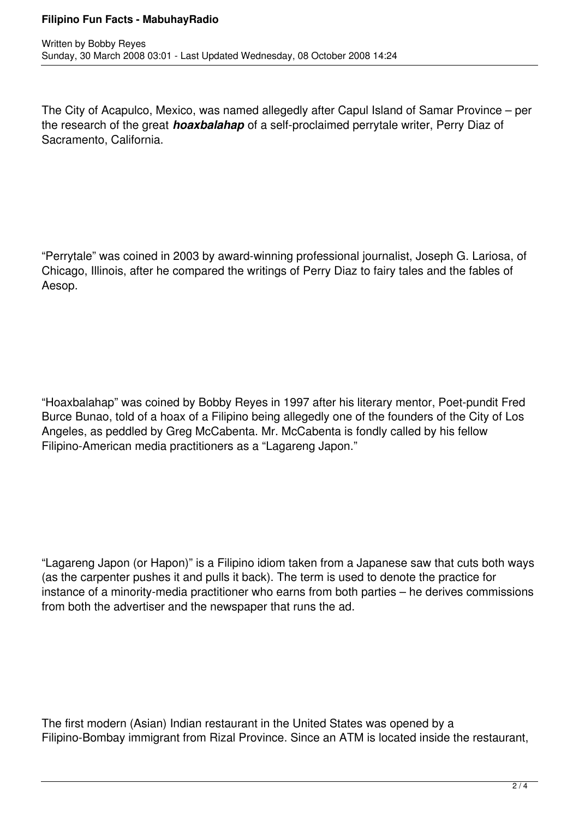## **Filipino Fun Facts - MabuhayRadio**

The City of Acapulco, Mexico, was named allegedly after Capul Island of Samar Province – per the research of the great *hoaxbalahap* of a self-proclaimed perrytale writer, Perry Diaz of Sacramento, California.

"Perrytale" was coined in 2003 by award-winning professional journalist, Joseph G. Lariosa, of Chicago, Illinois, after he compared the writings of Perry Diaz to fairy tales and the fables of Aesop.

"Hoaxbalahap" was coined by Bobby Reyes in 1997 after his literary mentor, Poet-pundit Fred Burce Bunao, told of a hoax of a Filipino being allegedly one of the founders of the City of Los Angeles, as peddled by Greg McCabenta. Mr. McCabenta is fondly called by his fellow Filipino-American media practitioners as a "Lagareng Japon."

"Lagareng Japon (or Hapon)" is a Filipino idiom taken from a Japanese saw that cuts both ways (as the carpenter pushes it and pulls it back). The term is used to denote the practice for instance of a minority-media practitioner who earns from both parties – he derives commissions from both the advertiser and the newspaper that runs the ad.

The first modern (Asian) Indian restaurant in the United States was opened by a Filipino-Bombay immigrant from Rizal Province. Since an ATM is located inside the restaurant,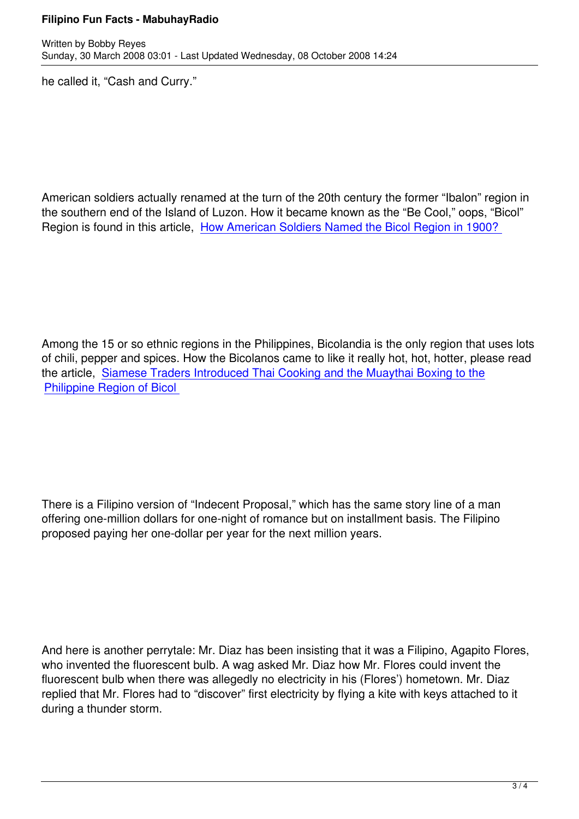he called it, "Cash and Curry."

American soldiers actually renamed at the turn of the 20th century the former "Ibalon" region in the southern end of the Island of Luzon. How it became known as the "Be Cool," oops, "Bicol" Region is found in this article, How American Soldiers Named the Bicol Region in 1900?

Among the 15 or so ethnic regions in the Philippines, Bicolandia is the only region that uses lots of chili, pepper and spices. How the Bicolanos came to like it really hot, hot, hotter, please read the article, Siamese Traders Introduced Thai Cooking and the Muaythai Boxing to the Philippine Region of Bicol

There is a Filipino version of "Indecent Proposal," which has the same story line of a man offering one-million dollars for one-night of romance but on installment basis. The Filipino proposed paying her one-dollar per year for the next million years.

And here is another perrytale: Mr. Diaz has been insisting that it was a Filipino, Agapito Flores, who invented the fluorescent bulb. A wag asked Mr. Diaz how Mr. Flores could invent the fluorescent bulb when there was allegedly no electricity in his (Flores') hometown. Mr. Diaz replied that Mr. Flores had to "discover" first electricity by flying a kite with keys attached to it during a thunder storm.